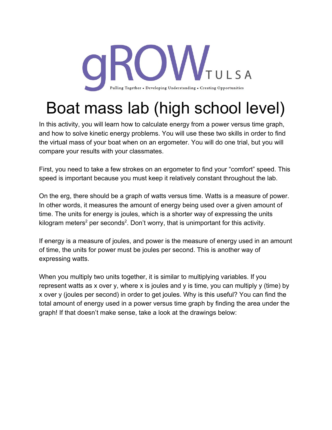

## Boat mass lab (high school level)

In this activity, you will learn how to calculate energy from a power versus time graph, and how to solve kinetic energy problems. You will use these two skills in order to find the virtual mass of your boat when on an ergometer. You will do one trial, but you will compare your results with your classmates.

First, you need to take a few strokes on an ergometer to find your "comfort" speed. This speed is important because you must keep it relatively constant throughout the lab.

On the erg, there should be a graph of watts versus time. Watts is a measure of power. In other words, it measures the amount of energy being used over a given amount of time. The units for energy is joules, which is a shorter way of expressing the units kilogram meters<sup>2</sup> per seconds<sup>2</sup>. Don't worry, that is unimportant for this activity.

If energy is a measure of joules, and power is the measure of energy used in an amount of time, the units for power must be joules per second. This is another way of expressing watts.

When you multiply two units together, it is similar to multiplying variables. If you represent watts as x over y, where x is joules and y is time, you can multiply y (time) by x over y (joules per second) in order to get joules. Why is this useful? You can find the total amount of energy used in a power versus time graph by finding the area under the graph! If that doesn't make sense, take a look at the drawings below: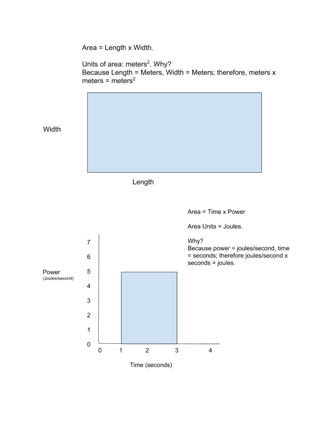Area = Length x Width.

Units of area: meters<sup>2</sup>. Why? Because Length = Meters, Width = Meters; therefore, meters x meters = meters<sup>2</sup>

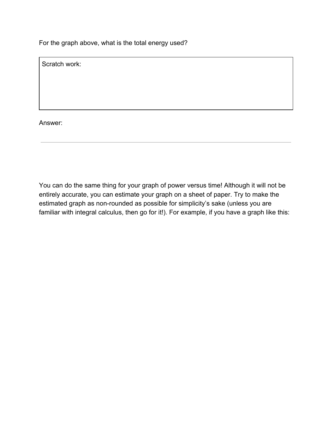For the graph above, what is the total energy used?

Scratch work:

Answer:

You can do the same thing for your graph of power versus time! Although it will not be entirely accurate, you can estimate your graph on a sheet of paper. Try to make the estimated graph as non-rounded as possible for simplicity's sake (unless you are familiar with integral calculus, then go for it!). For example, if you have a graph like this: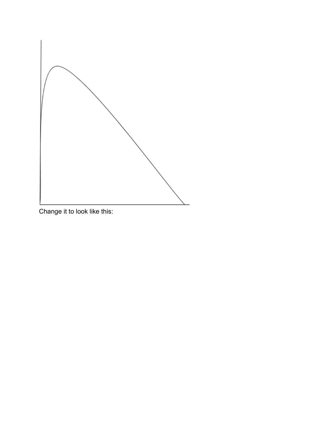

Change it to look like this: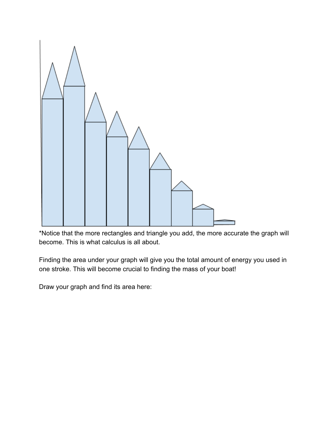

\*Notice that the more rectangles and triangle you add, the more accurate the graph will become. This is what calculus is all about.

Finding the area under your graph will give you the total amount of energy you used in one stroke. This will become crucial to finding the mass of your boat!

Draw your graph and find its area here: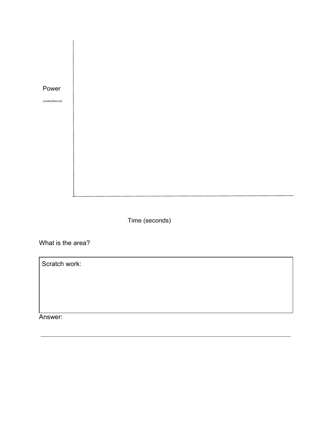

(Joules/Second)

Time (seconds)

What is the area?

Scratch work:

Answer: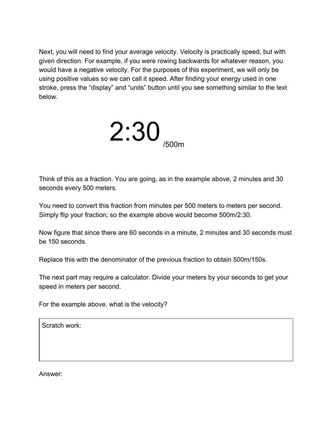Next, you will need to find your average velocity. Velocity is practically speed, but with given direction. For example, if you were rowing backwards for whatever reason, you would have a negative velocity. For the purposes of this experiment, we will only be using positive values so we can call it speed. After finding your energy used in one stroke, press the "display" and "units" button until you see something similar to the text below.



Think of this as a fraction. You are going, as in the example above, 2 minutes and 30 seconds every 500 meters.

You need to convert this fraction from minutes per 500 meters to meters per second. Simply flip your fraction; so the example above would become 500m/2:30.

Now figure that since there are 60 seconds in a minute, 2 minutes and 30 seconds must be 150 seconds.

Replace this with the denominator of the previous fraction to obtain 500m/150s.

The next part may require a calculator. Divide your meters by your seconds to get your speed in meters per second.

For the example above, what is the velocity?

Scratch work:

Answer: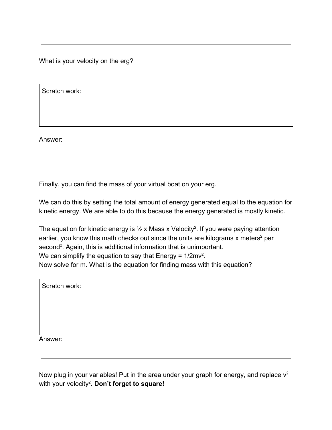What is your velocity on the erg?

Scratch work:

Answer:

Finally, you can find the mass of your virtual boat on your erg.

We can do this by setting the total amount of energy generated equal to the equation for kinetic energy. We are able to do this because the energy generated is mostly kinetic.

The equation for kinetic energy is  $\frac{1}{2}$  x Mass x Velocity<sup>2</sup>. If you were paying attention earlier, you know this math checks out since the units are kilograms x meters<sup>2</sup> per second<sup>2</sup>. Again, this is additional information that is unimportant. We can simplify the equation to say that Energy =  $1/2$ mv<sup>2</sup>. Now solve for m. What is the equation for finding mass with this equation?

Scratch work:

Answer:

Now plug in your variables! Put in the area under your graph for energy, and replace  $v^2$ with your velocity<sup>2</sup>. **Don't forget to square!**